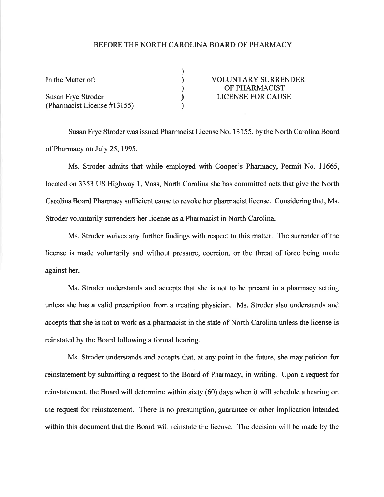## BEFORE THE NORTH CAROLINA BOARD OF PHARMACY

| In the Matter of:           | <b>VOLUNTARY SURRENDER</b> |
|-----------------------------|----------------------------|
|                             | OF PHARMACIST              |
| <b>Susan Frye Stroder</b>   | LICENSE FOR CAUSE          |
| (Pharmacist License #13155) |                            |

Susan Frye Stroder was issued Pharmacist License No. 13155, by the North Carolina Board of Pharmacy on July 25,1995.

Ms. Stroder admits that while employed with Cooper's Pharrnacy, Permit No. 11665, located on 3353 US Highway 1, Vass, North Carolina she has committed acts that give the North Carolina Board Pharmacy sufficient cause to revoke her pharmacist license. Considering that, Ms. Stroder voluntarily surrenders her license as a Pharmacist in North Carolina.

Ms. Stroder waives any further findings with respect to this matter. The surrender of the license is made voluntarily and without pressure, coercion, or the threat of force being made against her.

Ms. Stroder understands and accepts that she is not to be present in a pharmacy setting unless she has a valid prescription from a treating physician. Ms. Stroder also understands and accepts that she is not to work as a pharmacist in the state of North Carolina unless the license is reinstated by the Board following a formal hearing.

Ms. Stroder understands and accepts that, at any point in the future, she may petition for reinstatement by submitting a request to the Board of Pharmacy, in writing. Upon a request for reinstatement, the Board will determine within sixty (60) days when it will schedule a hearing on the request for reinstatement. There is no presumption, guarantee or other implication intended within this document that the Board will reinstate the license. The decision will be made by the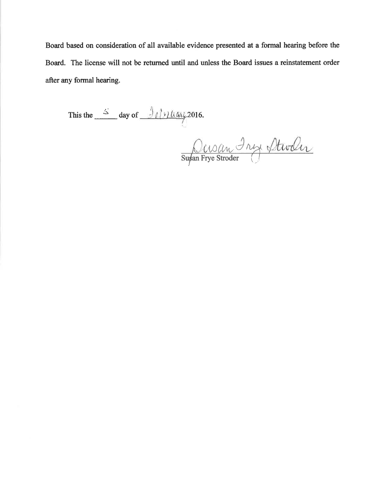Board based on consideration of all available evidence presented at a formal hearing before the Board. The license will not be returned until and unless the Board issues a reinstatement order after any formal hearing.

This the  $\frac{S}{\sqrt{2\pi}}$  day of  $\frac{\partial f}{\partial \alpha}$  (16.

Supan Frye Stroder Atwiler